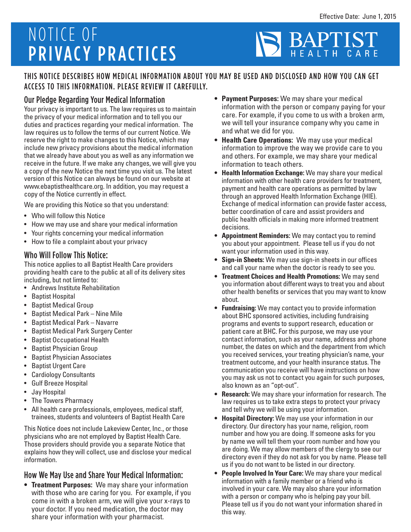# NOTICE OF PRIVACY PRACTICES

# BAPTI HEALTH

# THIS NOTICE DESCRIBES HOW MEDICAL INFORMATION ABOUT YOU MAY BE USED AND DISCLOSED AND HOW YOU CAN GET ACCESS TO THIS INFORMATION. PLEASE REVIEW IT CAREFULLY.

# Our Pledge Regarding Your Medical Information

Your privacy is important to us. The law requires us to maintain the privacy of your medical information and to tell you our duties and practices regarding your medical information. The law requires us to follow the terms of our current Notice. We reserve the right to make changes to this Notice, which may include new privacy provisions about the medical information that we already have about you as well as any information we receive in the future. If we make any changes, we will give you a copy of the new Notice the next time you visit us. The latest version of this Notice can always be found on our website at www.ebaptisthealthcare.org. In addition, you may request a copy of the Notice currently in effect.

We are providing this Notice so that you understand:

- Who will follow this Notice
- How we may use and share your medical information
- Your rights concerning your medical information
- How to file a complaint about your privacy

#### Who Will Follow This Notice:

This notice applies to all Baptist Health Care providers providing health care to the public at all of its delivery sites including, but not limted to:

- Andrews Institute Rehabilitation
- Baptist Hospital
- Baptist Medical Group
- Baptist Medical Park Nine Mile
- Baptist Medical Park Navarre
- Baptist Medical Park Surgery Center
- Baptist Occupational Health
- Baptist Physician Group
- Baptist Physician Associates
- Baptist Urgent Care
- Cardiology Consultants
- Gulf Breeze Hospital
- Jay Hospital
- The Towers Pharmacy
- All health care professionals, employees, medical staff, trainees, students and volunteers of Baptist Health Care

This Notice does not include Lakeview Center, Inc., or those physicians who are not employed by Baptist Health Care. Those providers should provide you a separate Notice that explains how they will collect, use and disclose your medical information.

#### How We May Use and Share Your Medical Information:

**• Treatment Purposes:** We may share your information with those who are caring for you. For example, if you come in with a broken arm, we will give your x-rays to your doctor. If you need medication, the doctor may share your information with your pharmacist.

- **• Payment Purposes:** We may share your medical information with the person or company paying for your care. For example, if you come to us with a broken arm, we will tell your insurance company why you came in and what we did for you.
- **• Health Care Operations:** We may use your medical information to improve the way we provide care to you and others. For example, we may share your medical information to teach others.
- **• Health Information Exchange:** We may share your medical information with other health care providers for treatment, payment and health care operations as permitted by law through an approved Health Information Exchange (HIE). Exchange of medical information can provide faster access, better coordination of care and assist providers and public health officials in making more informed treatment decisions.
- **• Appointment Reminders:** We may contact you to remind you about your appointment. Please tell us if you do not want your information used in this way.
- **• Sign-in Sheets:** We may use sign-in sheets in our offices and call your name when the doctor is ready to see you.
- **• Treatment Choices and Health Promotions:** We may send you information about different ways to treat you and about other health benefits or services that you may want to know about.
- **• Fundraising:** We may contact you to provide information about BHC sponsored activities, including fundraising programs and events to support research, education or patient care at BHC. For this purpose, we may use your contact information, such as your name, address and phone number, the dates on which and the department from which you received services, your treating physician's name, your treatment outcome, and your health insurance status. The communication you receive will have instructions on how you may ask us not to contact you again for such purposes, also known as an "opt-out".
- **• Research:** We may share your information for research. The law requires us to take extra steps to protect your privacy and tell why we will be using your information.
- **• Hospital Directory:** We may use your information in our directory. Our directory has your name, religion, room number and how you are doing. If someone asks for you by name we will tell them your room number and how you are doing. We may allow members of the clergy to see our directory even if they do not ask for you by name. Please tell us if you do not want to be listed in our directory.
- **• People Involved In Your Care:** We may share your medical information with a family member or a friend who is involved in your care. We may also share your information with a person or company who is helping pay your bill. Please tell us if you do not want your information shared in this way.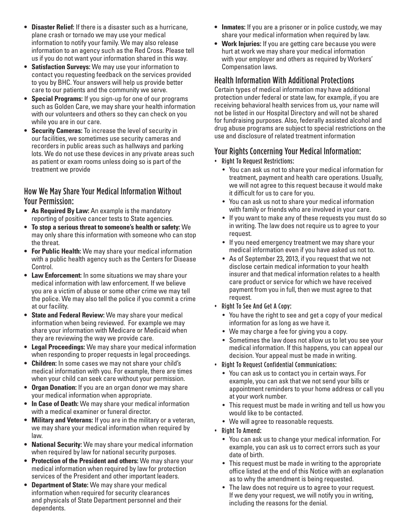- **• Disaster Relief:** If there is a disaster such as a hurricane, plane crash or tornado we may use your medical information to notify your family. We may also release information to an agency such as the Red Cross. Please tell us if you do not want your information shared in this way.
- **• Satisfaction Surveys:** We may use your information to contact you requesting feedback on the services provided to you by BHC. Your answers will help us provide better care to our patients and the community we serve.
- **• Special Programs:** If you sign-up for one of our programs such as Golden Care, we may share your health information with our volunteers and others so they can check on you while you are in our care.
- **• Security Cameras:** To increase the level of security in our facilities, we sometimes use security cameras and recorders in public areas such as hallways and parking lots. We do not use these devices in any private areas such as patient or exam rooms unless doing so is part of the treatment we provide

### How We May Share Your Medical Information Without Your Permission:

- **• As Required By Law:** An example is the mandatory reporting of positive cancer tests to State agencies.
- **• To stop a serious threat to someone's health or safety:** We may only share this information with someone who can stop the threat.
- **• For Public Health:** We may share your medical information with a public health agency such as the Centers for Disease Control.
- **• Law Enforcement:** In some situations we may share your medical information with law enforcement. If we believe you are a victim of abuse or some other crime we may tell the police. We may also tell the police if you commit a crime at our facility.
- **• State and Federal Review:** We may share your medical information when being reviewed. For example we may share your information with Medicare or Medicaid when they are reviewing the way we provide care.
- **• Legal Proceedings:** We may share your medical information when responding to proper requests in legal proceedings.
- **• Children:** In some cases we may not share your child's medical information with you. For example, there are times when your child can seek care without your permission.
- **• Organ Donation:** If you are an organ donor we may share your medical information when appropriate.
- **• In Case of Death:** We may share your medical information with a medical examiner or funeral director.
- **• Military and Veterans:** If you are in the military or a veteran, we may share your medical information when required by law.
- **• National Security:** We may share your medical information when required by law for national security purposes.
- **• Protection of the President and others:** We may share your medical information when required by law for protection services of the President and other important leaders.
- **• Department of State:** We may share your medical information when required for security clearances and physicals of State Department personnel and their dependents.
- **• Inmates:** If you are a prisoner or in police custody, we may share your medical information when required by law.
- **• Work Injuries:** If you are getting care because you were hurt at work we may share your medical information with your employer and others as required by Workers' Compensation laws.

# Health Information With Additional Protections

Certain types of medical information may have additional protection under federal or state law, for example, if you are receiving behavioral health services from us, your name will not be listed in our Hospital Directory and will not be shared for fundraising purposes. Also, federally assisted alcohol and drug abuse programs are subject to special restrictions on the use and disclosure of related treatment information

# Your Rights Concerning Your Medical Information:

- Right To Request Restrictions:
	- You can ask us not to share your medical information for treatment, payment and health care operations. Usually, we will not agree to this request because it would make it difficult for us to care for you.
	- You can ask us not to share your medical information with family or friends who are involved in your care.
	- If you want to make any of these requests you must do so in writing. The law does not require us to agree to your request.
	- If you need emergency treatment we may share your medical information even if you have asked us not to.
	- As of September 23, 2013, if you request that we not disclose certain medical information to your health insurer and that medical information relates to a health care product or service for which we have received payment from you in full, then we must agree to that request.
- Right To See And Get A Copy:
	- You have the right to see and get a copy of your medical information for as long as we have it.
	- We may charge a fee for giving you a copy.
	- Sometimes the law does not allow us to let you see your medical information. If this happens, you can appeal our decision. Your appeal must be made in writing.

#### • Right To Request Confidential Communications:

- You can ask us to contact you in certain ways. For example, you can ask that we not send your bills or appointment reminders to your home address or call you at your work number.
- This request must be made in writing and tell us how you would like to be contacted.
- We will agree to reasonable requests.
- Right To Amend:
	- You can ask us to change your medical information. For example, you can ask us to correct errors such as your date of birth.
	- This request must be made in writing to the appropriate office listed at the end of this Notice with an explanation as to why the amendment is being requested.
	- The law does not require us to agree to your request. If we deny your request, we will notify you in writing, including the reasons for the denial.